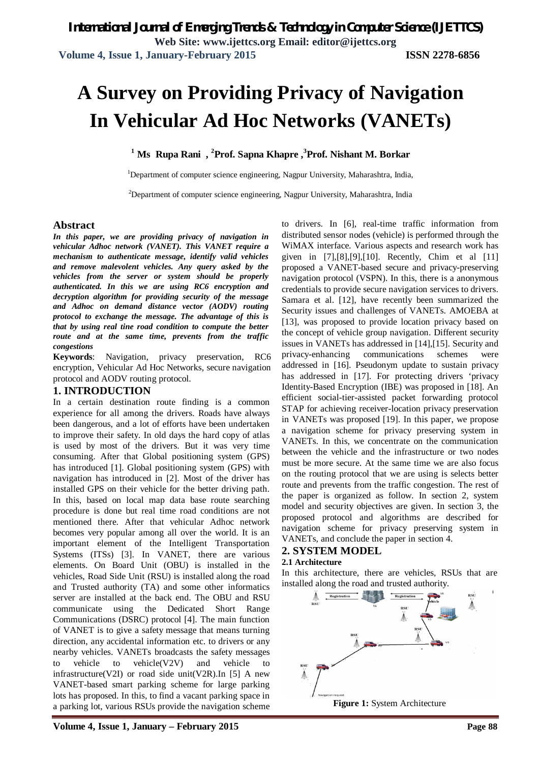# **A Survey on Providing Privacy of Navigation In Vehicular Ad Hoc Networks (VANETs)**

**<sup>1</sup> Ms Rupa Rani , <sup>2</sup>Prof. Sapna Khapre ,<sup>3</sup>Prof. Nishant M. Borkar**

<sup>1</sup>Department of computer science engineering, Nagpur University, Maharashtra, India,

<sup>2</sup>Department of computer science engineering, Nagpur University, Maharashtra, India

#### **Abstract**

*In this paper, we are providing privacy of navigation in vehicular Adhoc network (VANET). This VANET require a mechanism to authenticate message, identify valid vehicles and remove malevolent vehicles. Any query asked by the vehicles from the server or system should be properly authenticated. In this we are using RC6 encryption and decryption algorithm for providing security of the message and Adhoc on demand distance vector (AODV) routing protocol to exchange the message. The advantage of this is that by using real tine road condition to compute the better route and at the same time, prevents from the traffic congestions*

**Keywords**: Navigation, privacy preservation, RC6 encryption, Vehicular Ad Hoc Networks, secure navigation protocol and AODV routing protocol.

#### **1. INTRODUCTION**

In a certain destination route finding is a common experience for all among the drivers. Roads have always been dangerous, and a lot of efforts have been undertaken to improve their safety. In old days the hard copy of atlas is used by most of the drivers. But it was very time consuming. After that Global positioning system (GPS) has introduced [1]. Global positioning system (GPS) with navigation has introduced in [2]. Most of the driver has installed GPS on their vehicle for the better driving path. In this, based on local map data base route searching procedure is done but real time road conditions are not mentioned there. After that vehicular Adhoc network becomes very popular among all over the world. It is an important element of the Intelligent Transportation Systems (ITSs) [3]. In VANET, there are various elements. On Board Unit (OBU) is installed in the vehicles, Road Side Unit (RSU) is installed along the road and Trusted authority (TA) and some other informatics server are installed at the back end. The OBU and RSU communicate using the Dedicated Short Range Communications (DSRC) protocol [4]. The main function of VANET is to give a safety message that means turning direction, any accidental information etc. to drivers or any nearby vehicles. VANETs broadcasts the safety messages to vehicle to vehicle(V2V) and vehicle to infrastructure(V2I) or road side unit(V2R).In [5] A new VANET-based smart parking scheme for large parking lots has proposed. In this, to find a vacant parking space in a parking lot, various RSUs provide the navigation scheme

to drivers. In [6], real-time traffic information from distributed sensor nodes (vehicle) is performed through the WiMAX interface. Various aspects and research work has given in [7],[8],[9],[10]. Recently, Chim et al [11] proposed a VANET-based secure and privacy-preserving navigation protocol (VSPN). In this, there is a anonymous credentials to provide secure navigation services to drivers. Samara et al. [12], have recently been summarized the Security issues and challenges of VANETs. AMOEBA at [13], was proposed to provide location privacy based on the concept of vehicle group navigation. Different security issues in VANETs has addressed in [14],[15]. Security and privacy-enhancing communications schemes were addressed in [16]. Pseudonym update to sustain privacy has addressed in [17]. For protecting drivers 'privacy Identity-Based Encryption (IBE) was proposed in [18]. An efficient social-tier-assisted packet forwarding protocol STAP for achieving receiver-location privacy preservation in VANETs was proposed [19]. In this paper, we propose a navigation scheme for privacy preserving system in VANETs. In this, we concentrate on the communication between the vehicle and the infrastructure or two nodes must be more secure. At the same time we are also focus on the routing protocol that we are using is selects better route and prevents from the traffic congestion. The rest of the paper is organized as follow. In section 2, system model and security objectives are given. In section 3, the proposed protocol and algorithms are described for navigation scheme for privacy preserving system in VANETs, and conclude the paper in section 4.

#### **2. SYSTEM MODEL**

#### **2.1 Architecture**

In this architecture, there are vehicles, RSUs that are installed along the road and trusted authority.



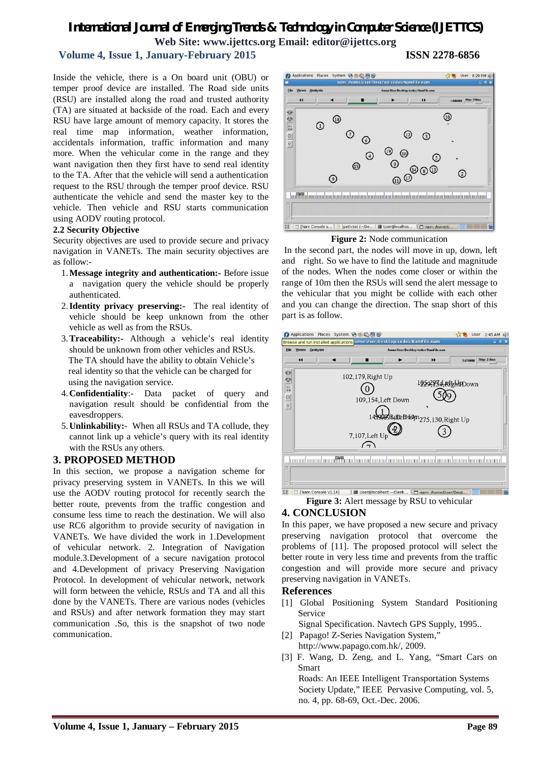# *International Journal of Emerging Trends & Technology in Computer Science (IJETTCS)* **Web Site: www.ijettcs.org Email: editor@ijettcs.org**

## **Volume 4, Issue 1, January-February 2015 ISSN 2278-6856**

Inside the vehicle, there is a On board unit (OBU) or temper proof device are installed. The Road side units (RSU) are installed along the road and trusted authority (TA) are situated at backside of the road. Each and every RSU have large amount of memory capacity. It stores the real time map information, weather information, accidentals information, traffic information and many more. When the vehicular come in the range and they want navigation then they first have to send real identity to the TA. After that the vehicle will send a authentication request to the RSU through the temper proof device. RSU authenticate the vehicle and send the master key to the vehicle. Then vehicle and RSU starts communication using AODV routing protocol.

#### **2.2 Security Objective**

Security objectives are used to provide secure and privacy navigation in VANETs. The main security objectives are as follow:-

- 1.**Message integrity and authentication:-** Before issue a navigation query the vehicle should be properly authenticated.
- 2.**Identity privacy preserving:-** The real identity of vehicle should be keep unknown from the other vehicle as well as from the RSUs.
- 3.**Traceability:-** Although a vehicle's real identity should be unknown from other vehicles and RSUs. The TA should have the ability to obtain Vehicle's real identity so that the vehicle can be charged for using the navigation service.
- 4.**Confidentiality**:- Data packet of query and navigation result should be confidential from the eavesdroppers.
- 5.**Unlinkability:** When all RSUs and TA collude, they cannot link up a vehicle's query with its real identity with the RSUs any others.

#### **3. PROPOSED METHOD**

In this section, we propose a navigation scheme for privacy preserving system in VANETs. In this we will use the AODV routing protocol for recently search the better route, prevents from the traffic congestion and consume less time to reach the destination. We will also use RC6 algorithm to provide security of navigation in VANETs. We have divided the work in 1.Development of vehicular network. 2. Integration of Navigation module.3.Development of a secure navigation protocol and 4.Development of privacy Preserving Navigation Protocol. In development of vehicular network, network will form between the vehicle, RSUs and TA and all this done by the VANETs. There are various nodes (vehicles and RSUs) and after network formation they may start communication .So, this is the snapshot of two node communication.

**C** Applications Places System → 全る風 **1 8** User 8:29 PM File Views Analysis  $\overline{4}$  $\Omega$ S  $\overline{18}$  $\Omega$  $\frac{v_1}{\epsilon w}$  $\Omega$  $\circledR$  $\Omega$  $|0|$ ര  $\circ$  $^{\circledR}$  $\omega$  $\Omega$  $\Omega$  $\odot$  $\Omega$  $\circledcirc$  $\circled{2}$  $\odot$ **m** <u>ha 1999 atau a baadan atau dara dan aban dan atamahan atau atau atama dan atamahan dan adamahan da an dan atama</u> t1 | □ [Nam Console v... | 2 [path.txt (~/De... | ■ User@localhos... | □ nam: /home/U...

**Figure 2:** Node communication

In the second part, the nodes will move in up, down, left and right. So we have to find the latitude and magnitude of the nodes. When the nodes come closer or within the range of 10m then the RSUs will send the alert message to the vehicular that you might be collide with each other and you can change the direction. The snap short of this part is as follow.



**Figure 3:** Alert message by RSU to vehicular

## **4. CONCLUSION**

In this paper, we have proposed a new secure and privacy preserving navigation protocol that overcome the problems of [11]. The proposed protocol will select the better route in very less time and prevents from the traffic congestion and will provide more secure and privacy preserving navigation in VANETs.

#### **References**

[1] Global Positioning System Standard Positioning Service

Signal Specification. Navtech GPS Supply, 1995..

- [2] Papago! Z-Series Navigation System," http://www.papago.com.hk/, 2009.
- [3] F. Wang, D. Zeng, and L. Yang, "Smart Cars on Smart

 Roads: An IEEE Intelligent Transportation Systems Society Update," IEEE Pervasive Computing, vol. 5, no. 4, pp. 68-69, Oct.-Dec. 2006.